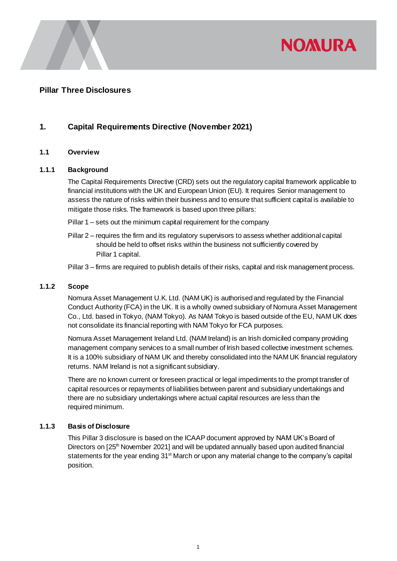

## **Pillar Three Disclosures**

# **1. Capital Requirements Directive (November 2021)**

#### **1.1 Overview**

#### **1.1.1 Background**

The Capital Requirements Directive (CRD) sets out the regulatory capital framework applicable to financial institutions with the UK and European Union (EU). It requires Senior management to assess the nature of risks within their business and to ensure that sufficient capital is available to mitigate those risks. The framework is based upon three pillars:

- Pillar 1 sets out the minimum capital requirement for the company
- Pillar 2 requires the firm and its regulatory supervisors to assess whether additional capital should be held to offset risks within the business not sufficiently covered by Pillar 1 capital.
- Pillar 3 firms are required to publish details of their risks, capital and risk management process.

#### **1.1.2 Scope**

Nomura Asset Management U.K. Ltd. (NAM UK) is authorised and regulated by the Financial Conduct Authority (FCA) in the UK. It is a wholly owned subsidiary of Nomura Asset Management Co., Ltd. based in Tokyo, (NAM Tokyo). As NAM Tokyo is based outside of the EU, NAM UK does not consolidate its financial reporting with NAM Tokyo for FCA purposes.

Nomura Asset Management Ireland Ltd. (NAM Ireland) is an Irish domiciled company providing management company services to a small number of Irish based collective investment schemes. It is a 100% subsidiary of NAM UK and thereby consolidated into the NAM UK financial regulatory returns. NAM Ireland is not a significant subsidiary.

There are no known current or foreseen practical or legal impediments to the prompt transfer of capital resources or repayments of liabilities between parent and subsidiary undertakings and there are no subsidiary undertakings where actual capital resources are less than the required minimum.

#### **1.1.3 Basis of Disclosure**

This Pillar 3 disclosure is based on the ICAAP document approved by NAM UK's Board of Directors on [25<sup>th</sup> November 2021] and will be updated annually based upon audited financial statements for the year ending 31<sup>st</sup> March or upon any material change to the company's capital position.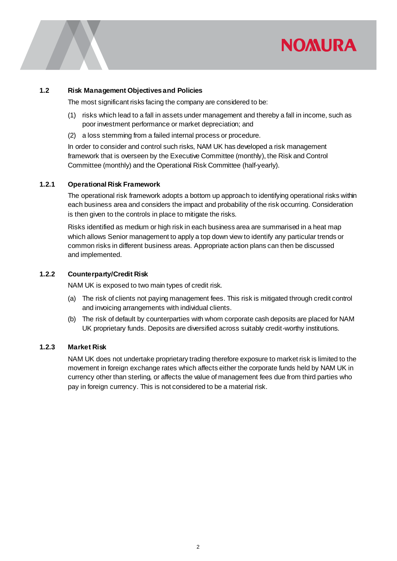# **NOMURA**

#### **1.2 Risk Management Objectives and Policies**

The most significant risks facing the company are considered to be:

- (1) risks which lead to a fall in assets under management and thereby a fall in income, such as poor investment performance or market depreciation; and
- (2) a loss stemming from a failed internal process or procedure.

In order to consider and control such risks, NAM UK has developed a risk management framework that is overseen by the Executive Committee (monthly), the Risk and Control Committee (monthly) and the Operational Risk Committee (half-yearly).

#### **1.2.1 Operational Risk Framework**

The operational risk framework adopts a bottom up approach to identifying operational risks within each business area and considers the impact and probability of the risk occurring. Consideration is then given to the controls in place to mitigate the risks.

Risks identified as medium or high risk in each business area are summarised in a heat map which allows Senior management to apply a top down view to identify any particular trends or common risks in different business areas. Appropriate action plans can then be discussed and implemented.

#### **1.2.2 Counterparty/Credit Risk**

NAM UK is exposed to two main types of credit risk.

- (a) The risk of clients not paying management fees. This risk is mitigated through credit control and invoicing arrangements with individual clients.
- (b) The risk of default by counterparties with whom corporate cash deposits are placed for NAM UK proprietary funds. Deposits are diversified across suitably credit-worthy institutions.

## **1.2.3 Market Risk**

NAM UK does not undertake proprietary trading therefore exposure to market risk is limited to the movement in foreign exchange rates which affects either the corporate funds held by NAM UK in currency other than sterling, or affects the value of management fees due from third parties who pay in foreign currency. This is not considered to be a material risk.